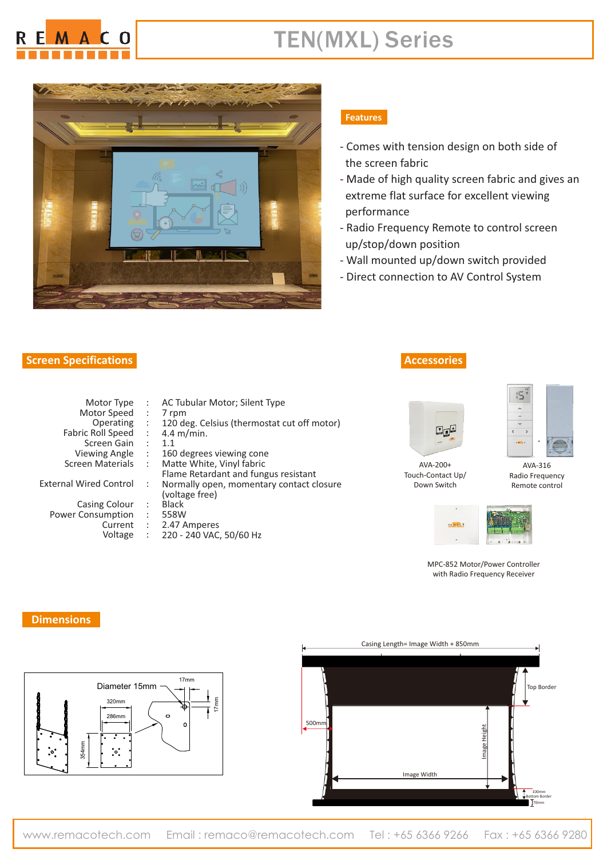

## TEN(MXL) Series



### **Screen Specifications**

#### **Features**

- Comes with tension design on both side of the screen fabric
- Made of high quality screen fabric and gives an extreme flat surface for excellent viewing performance
- Radio Frequency Remote to control screen up/stop/down position
- Wall mounted up/down switch provided
- Direct connection to AV Control System

| Motor Type               |   | <b>AC Tubu</b> |
|--------------------------|---|----------------|
| Motor Speed              |   | 7 rpm          |
| Operating                | t | 120 deg.       |
| <b>Fabric Roll Speed</b> |   | 4.4 $m/m$      |
| Screen Gain              |   | 1.1            |
| <b>Viewing Angle</b>     |   | 160 degi       |
| <b>Screen Materials</b>  |   | Matte W        |
|                          |   | Flame Re       |
| nal Wired Control        |   | Normally       |
|                          |   | (voltage)      |
|                          |   |                |

: : : :

Casing Colour Power Consumption Current Voltage

| AC Tubular Motor; Silent Type               |  |
|---------------------------------------------|--|
| 7 rpm                                       |  |
| 120 deg. Celsius (thermostat cut off motor) |  |
| $4.4 \text{ m/min}.$                        |  |
| 1.1                                         |  |
| 160 degrees viewing cone                    |  |
| Matte White, Vinyl fabric                   |  |
| Flame Retardant and fungus resistant        |  |
| Normally open, momentary contact closure    |  |
| (voltage free)                              |  |
| <b>Black</b>                                |  |
| 558W                                        |  |
| 2.47 Amperes                                |  |
| 220 - 240 VAC, 50/60 Hz                     |  |

#### **Accessories**



Touch-Contact Up/ Down Switch



AVA-316 Radio Frequency Remote control



MPC-852 Motor/Power Controller with Radio Frequency Receiver

#### **Dimensions**

**Exter**